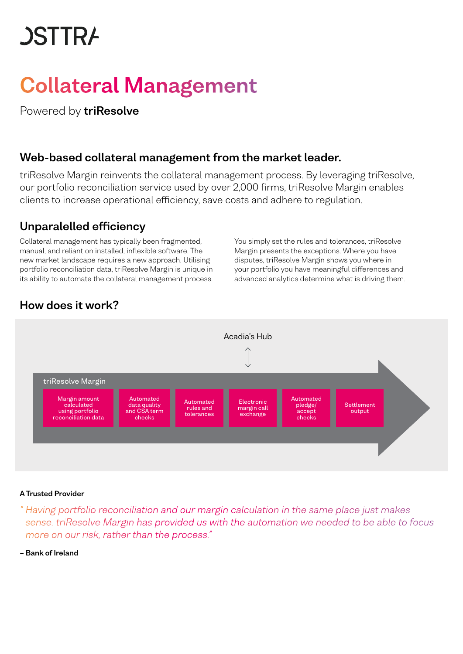# **JSTTRA**

## Collateral Management

Powered by triResolve

## Web-based collateral management from the market leader.

triResolve Margin reinvents the collateral management process. By leveraging triResolve, our portfolio reconciliation service used by over 2,000 firms, triResolve Margin enables clients to increase operational efficiency, save costs and adhere to regulation.

## Unparalelled efficiency

Collateral management has typically been fragmented, manual, and reliant on installed, inflexible software. The new market landscape requires a new approach. Utilising portfolio reconciliation data, triResolve Margin is unique in its ability to automate the collateral management process.

You simply set the rules and tolerances, triResolve Margin presents the exceptions. Where you have disputes, triResolve Margin shows you where in your portfolio you have meaningful differences and advanced analytics determine what is driving them.





#### A Trusted Provider

- *" Having portfolio reconciliation and our margin calculation in the same place just makes sense. triResolve Margin has provided us with the automation we needed to be able to focus more on our risk, rather than the process."*
- Bank of Ireland